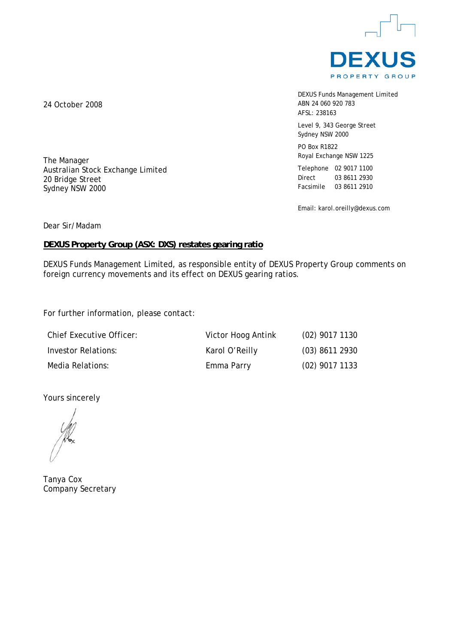

DEXUS Funds Management Limited ABN 24 060 920 783 AFSL: 238163

Level 9, 343 George Street Sydney NSW 2000

PO Box R1822 Royal Exchange NSW 1225

Telephone 02 9017 1100 Direct 03 8611 2930 Facsimile 03 8611 2910

Email: karol.oreilly@dexus.com

Dear Sir/Madam

The Manager

20 Bridge Street Sydney NSW 2000

Australian Stock Exchange Limited

### **DEXUS Property Group (ASX: DXS) restates gearing ratio**

DEXUS Funds Management Limited, as responsible entity of DEXUS Property Group comments on foreign currency movements and its effect on DEXUS gearing ratios.

For further information, please contact:

| <b>Chief Executive Officer:</b> | Victor Hoog Antink | $(02)$ 9017 1130 |
|---------------------------------|--------------------|------------------|
| Investor Relations:             | Karol O'Reilly     | $(03)$ 8611 2930 |
| Media Relations:                | Emma Parry         | $(02)$ 9017 1133 |

Yours sincerely

Tanya Cox Company Secretary

24 October 2008